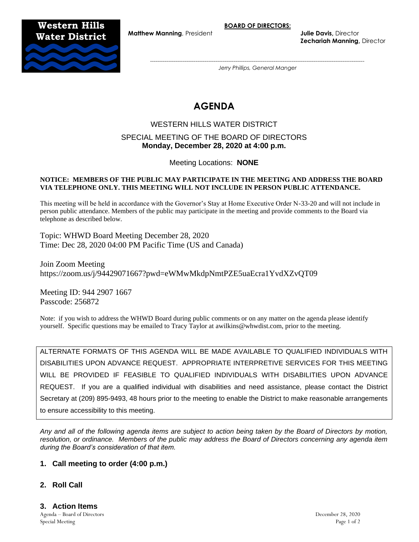**BOARD OF DIRECTORS:**

**Western Hills**

**Matthew Manning**, President **Julie Davis**, Director **Zechariah Manning,** Director



*---------------------------------------------------------------------------------------------------------------------- Jerry Phillips, General Manger*

# **AGENDA**

# WESTERN HILLS WATER DISTRICT

## SPECIAL MEETING OF THE BOARD OF DIRECTORS **Monday, December 28, 2020 at 4:00 p.m.**

Meeting Locations: **NONE**

#### **NOTICE: MEMBERS OF THE PUBLIC MAY PARTICIPATE IN THE MEETING AND ADDRESS THE BOARD VIA TELEPHONE ONLY. THIS MEETING WILL NOT INCLUDE IN PERSON PUBLIC ATTENDANCE.**

This meeting will be held in accordance with the Governor's Stay at Home Executive Order N-33-20 and will not include in person public attendance. Members of the public may participate in the meeting and provide comments to the Board via telephone as described below.

Topic: WHWD Board Meeting December 28, 2020 Time: Dec 28, 2020 04:00 PM Pacific Time (US and Canada)

Join Zoom Meeting https://zoom.us/j/94429071667?pwd=eWMwMkdpNmtPZE5uaEcra1YvdXZvQT09

Meeting ID: 944 2907 1667 Passcode: 256872

Note: if you wish to address the WHWD Board during public comments or on any matter on the agenda please identify yourself. Specific questions may be emailed to Tracy Taylor at awilkins@whwdist.com, prior to the meeting.

ALTERNATE FORMATS OF THIS AGENDA WILL BE MADE AVAILABLE TO QUALIFIED INDIVIDUALS WITH DISABILITIES UPON ADVANCE REQUEST. APPROPRIATE INTERPRETIVE SERVICES FOR THIS MEETING WILL BE PROVIDED IF FEASIBLE TO QUALIFIED INDIVIDUALS WITH DISABILITIES UPON ADVANCE REQUEST. If you are a qualified individual with disabilities and need assistance, please contact the District Secretary at (209) 895-9493, 48 hours prior to the meeting to enable the District to make reasonable arrangements to ensure accessibility to this meeting.

*Any and all of the following agenda items are subject to action being taken by the Board of Directors by motion, resolution, or ordinance. Members of the public may address the Board of Directors concerning any agenda item during the Board's consideration of that item.*

#### **1. Call meeting to order (4:00 p.m.)**

# **2. Roll Call**

Agenda – Board of Directors December 28, 2020 Special Meeting Page 1 of 2 **3. Action Items**